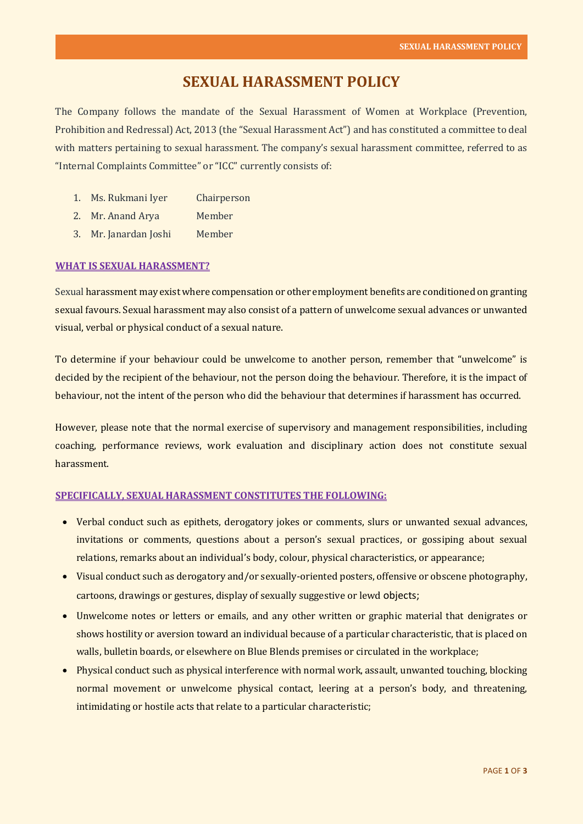# **SEXUAL HARASSMENT POLICY**

The Company follows the mandate of the Sexual Harassment of Women at Workplace (Prevention, Prohibition and Redressal) Act, 2013 (the "Sexual Harassment Act") and has constituted a committee to deal with matters pertaining to sexual harassment. The company's sexual harassment committee, referred to as "Internal Complaints Committee" or "ICC" currently consists of:

- 1. Ms. Rukmani Iyer Chairperson
- 2. Mr. Anand Arya Member
- 3. Mr. Janardan Joshi Member

## **WHAT IS SEXUAL HARASSMENT?**

Sexual harassment may exist where compensation or other employment benefits are conditioned on granting sexual favours. Sexual harassment may also consist of a pattern of unwelcome sexual advances or unwanted visual, verbal or physical conduct of a sexual nature.

To determine if your behaviour could be unwelcome to another person, remember that "unwelcome" is decided by the recipient of the behaviour, not the person doing the behaviour. Therefore, it is the impact of behaviour, not the intent of the person who did the behaviour that determines if harassment has occurred.

However, please note that the normal exercise of supervisory and management responsibilities, including coaching, performance reviews, work evaluation and disciplinary action does not constitute sexual harassment.

## **SPECIFICALLY, SEXUAL HARASSMENT CONSTITUTES THE FOLLOWING:**

- Verbal conduct such as epithets, derogatory jokes or comments, slurs or unwanted sexual advances, invitations or comments, questions about a person's sexual practices, or gossiping about sexual relations, remarks about an individual's body, colour, physical characteristics, or appearance;
- Visual conduct such as derogatory and/or sexually-oriented posters, offensive or obscene photography, cartoons, drawings or gestures, display of sexually suggestive or lewd objects;
- Unwelcome notes or letters or emails, and any other written or graphic material that denigrates or shows hostility or aversion toward an individual because of a particular characteristic, that is placed on walls, bulletin boards, or elsewhere on Blue Blends premises or circulated in the workplace;
- Physical conduct such as physical interference with normal work, assault, unwanted touching, blocking normal movement or unwelcome physical contact, leering at a person's body, and threatening, intimidating or hostile acts that relate to a particular characteristic;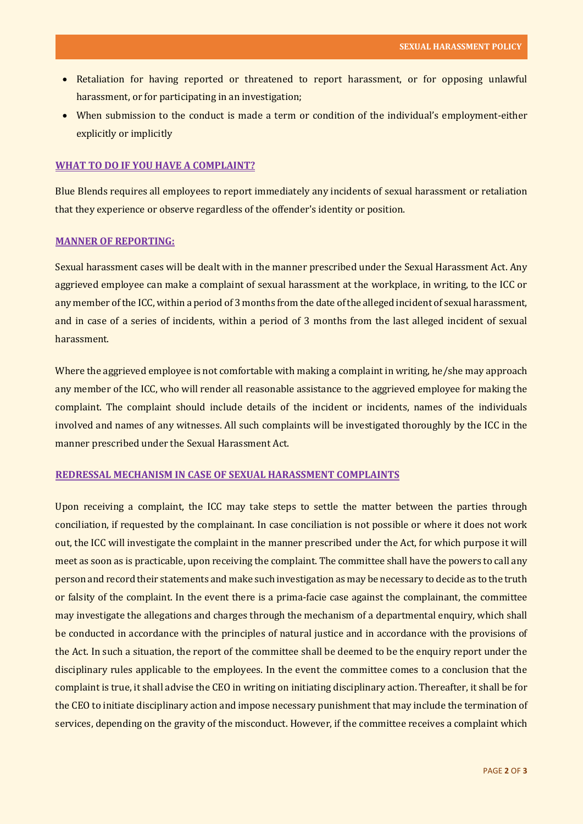- Retaliation for having reported or threatened to report harassment, or for opposing unlawful harassment, or for participating in an investigation;
- When submission to the conduct is made a term or condition of the individual's employment-either explicitly or implicitly

#### **WHAT TO DO IF YOU HAVE A COMPLAINT?**

Blue Blends requires all employees to report immediately any incidents of sexual harassment or retaliation that they experience or observe regardless of the offender's identity or position.

### **MANNER OF REPORTING:**

Sexual harassment cases will be dealt with in the manner prescribed under the Sexual Harassment Act. Any aggrieved employee can make a complaint of sexual harassment at the workplace, in writing, to the ICC or any member of the ICC, within a period of 3 months from the date of the alleged incident of sexual harassment, and in case of a series of incidents, within a period of 3 months from the last alleged incident of sexual harassment.

Where the aggrieved employee is not comfortable with making a complaint in writing, he/she may approach any member of the ICC, who will render all reasonable assistance to the aggrieved employee for making the complaint. The complaint should include details of the incident or incidents, names of the individuals involved and names of any witnesses. All such complaints will be investigated thoroughly by the ICC in the manner prescribed under the Sexual Harassment Act.

## **REDRESSAL MECHANISM IN CASE OF SEXUAL HARASSMENT COMPLAINTS**

Upon receiving a complaint, the ICC may take steps to settle the matter between the parties through conciliation, if requested by the complainant. In case conciliation is not possible or where it does not work out, the ICC will investigate the complaint in the manner prescribed under the Act, for which purpose it will meet as soon as is practicable, upon receiving the complaint. The committee shall have the powers to call any person and record their statements and make such investigation as may be necessary to decide as to the truth or falsity of the complaint. In the event there is a prima-facie case against the complainant, the committee may investigate the allegations and charges through the mechanism of a departmental enquiry, which shall be conducted in accordance with the principles of natural justice and in accordance with the provisions of the Act. In such a situation, the report of the committee shall be deemed to be the enquiry report under the disciplinary rules applicable to the employees. In the event the committee comes to a conclusion that the complaint is true, it shall advise the CEO in writing on initiating disciplinary action. Thereafter, it shall be for the CEO to initiate disciplinary action and impose necessary punishment that may include the termination of services, depending on the gravity of the misconduct. However, if the committee receives a complaint which